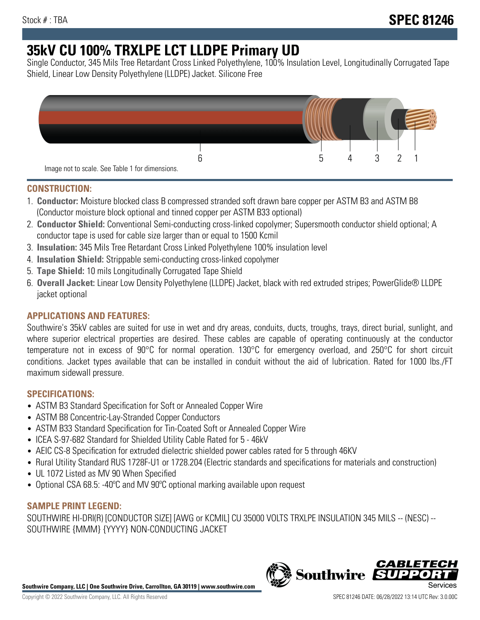# **35kV CU 100% TRXLPE LCT LLDPE Primary UD**

Single Conductor, 345 Mils Tree Retardant Cross Linked Polyethylene, 100% Insulation Level, Longitudinally Corrugated Tape Shield, Linear Low Density Polyethylene (LLDPE) Jacket. Silicone Free



## **CONSTRUCTION:**

- 1. **Conductor:** Moisture blocked class B compressed stranded soft drawn bare copper per ASTM B3 and ASTM B8 (Conductor moisture block optional and tinned copper per ASTM B33 optional)
- 2. **Conductor Shield:** Conventional Semi-conducting cross-linked copolymer; Supersmooth conductor shield optional; A conductor tape is used for cable size larger than or equal to 1500 Kcmil
- 3. **Insulation:** 345 Mils Tree Retardant Cross Linked Polyethylene 100% insulation level
- 4. **Insulation Shield:** Strippable semi-conducting cross-linked copolymer
- 5. **Tape Shield:** 10 mils Longitudinally Corrugated Tape Shield
- 6. **Overall Jacket:** Linear Low Density Polyethylene (LLDPE) Jacket, black with red extruded stripes; PowerGlide® LLDPE jacket optional

# **APPLICATIONS AND FEATURES:**

Southwire's 35kV cables are suited for use in wet and dry areas, conduits, ducts, troughs, trays, direct burial, sunlight, and where superior electrical properties are desired. These cables are capable of operating continuously at the conductor temperature not in excess of 90°C for normal operation. 130°C for emergency overload, and 250°C for short circuit conditions. Jacket types available that can be installed in conduit without the aid of lubrication. Rated for 1000 lbs./FT maximum sidewall pressure.

# **SPECIFICATIONS:**

- ASTM B3 Standard Specification for Soft or Annealed Copper Wire
- ASTM B8 Concentric-Lay-Stranded Copper Conductors
- ASTM B33 Standard Specification for Tin-Coated Soft or Annealed Copper Wire
- ICEA S-97-682 Standard for Shielded Utility Cable Rated for 5 46kV
- AEIC CS-8 Specification for extruded dielectric shielded power cables rated for 5 through 46KV
- Rural Utility Standard RUS 1728F-U1 or 1728.204 (Electric standards and specifications for materials and construction)
- UL 1072 Listed as MV 90 When Specified
- Optional CSA 68.5: -40ºC and MV 90ºC optional marking available upon request

## **SAMPLE PRINT LEGEND:**

SOUTHWIRE HI-DRI(R) [CONDUCTOR SIZE] [AWG or KCMIL] CU 35000 VOLTS TRXLPE INSULATION 345 MILS -- (NESC) -- SOUTHWIRE {MMM} {YYYY} NON-CONDUCTING JACKET

**Southwire Company, LLC | One Southwire Drive, Carrollton, GA 30119 | www.southwire.com**